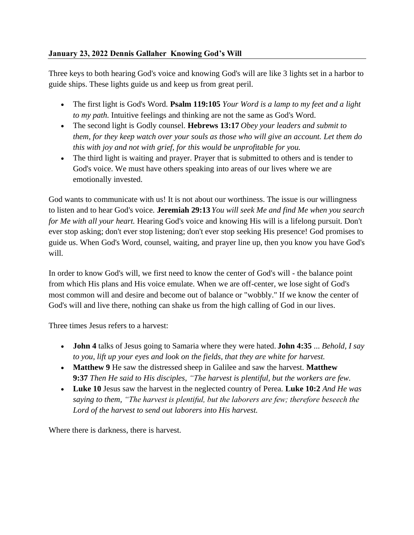## **January 23, 2022 Dennis Gallaher Knowing God's Will**

Three keys to both hearing God's voice and knowing God's will are like 3 lights set in a harbor to guide ships. These lights guide us and keep us from great peril.

- The first light is God's Word. **Psalm 119:105** *Your Word is a lamp to my feet and a light to my path.* Intuitive feelings and thinking are not the same as God's Word.
- The second light is Godly counsel. **Hebrews 13:17** *Obey your leaders and submit to them, for they keep watch over your souls as those who will give an account. Let them do this with joy and not with grief, for this would be unprofitable for you.*
- The third light is waiting and prayer. Prayer that is submitted to others and is tender to God's voice. We must have others speaking into areas of our lives where we are emotionally invested.

God wants to communicate with us! It is not about our worthiness. The issue is our willingness to listen and to hear God's voice. **Jeremiah 29:13** *You will seek Me and find Me when you search for Me with all your heart.* Hearing God's voice and knowing His will is a lifelong pursuit. Don't ever stop asking; don't ever stop listening; don't ever stop seeking His presence! God promises to guide us. When God's Word, counsel, waiting, and prayer line up, then you know you have God's will.

In order to know God's will, we first need to know the center of God's will - the balance point from which His plans and His voice emulate. When we are off-center, we lose sight of God's most common will and desire and become out of balance or "wobbly." If we know the center of God's will and live there, nothing can shake us from the high calling of God in our lives.

Three times Jesus refers to a harvest:

- **John 4** talks of Jesus going to Samaria where they were hated. **John 4:35** ... *Behold, I say to you, lift up your eyes and look on the fields, that they are white for harvest.*
- **Matthew 9** He saw the distressed sheep in Galilee and saw the harvest. **Matthew 9:37** *Then He said to His disciples, "The harvest is plentiful, but the workers are few.*
- **Luke 10** Jesus saw the harvest in the neglected country of Perea. **Luke 10:2** *And He was saying to them, "The harvest is plentiful, but the laborers are few; therefore beseech the Lord of the harvest to send out laborers into His harvest.*

Where there is darkness, there is harvest.